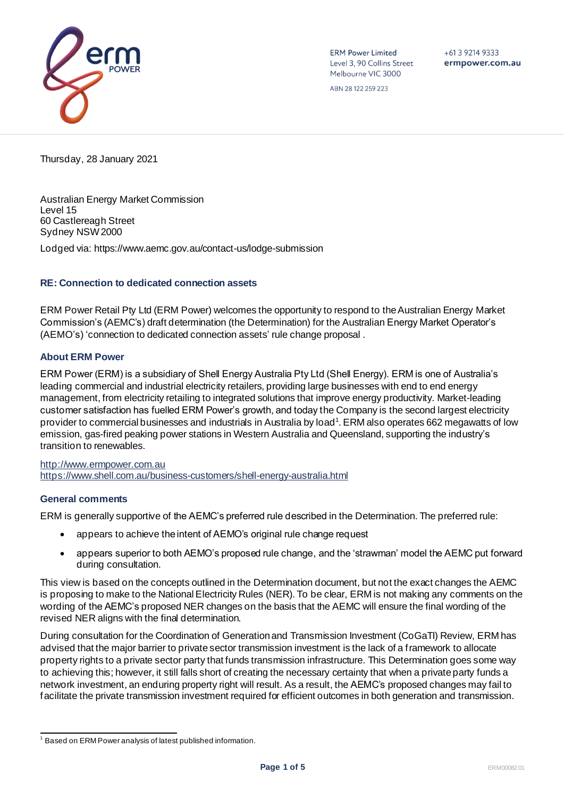

**ERM Power Limited** Level 3, 90 Collins Street Melbourne VIC 3000

 $+61$  3 9214 9333 ermpower.com.au

ABN 28 122 259 223

Thursday, 28 January 2021

Australian Energy Market Commission Level 15 60 Castlereagh Street Sydney NSW 2000

Lodged via: https://www.aemc.gov.au/contact-us/lodge-submission

#### **RE: Connection to dedicated connection assets**

ERM Power Retail Pty Ltd (ERM Power) welcomes the opportunity to respond to the Australian Energy Market Commission's (AEMC's) draft determination (the Determination) for the Australian Energy Market Operator's (AEMO's) 'connection to dedicated connection assets' rule change proposal .

#### **About ERM Power**

ERM Power (ERM) is a subsidiary of Shell Energy Australia Pty Ltd (Shell Energy). ERM is one of Australia's leading commercial and industrial electricity retailers, providing large businesses with end to end energy management, from electricity retailing to integrated solutions that improve energy productivity. Market-leading customer satisfaction has fuelled ERM Power's growth, and today the Company is the second largest electricity provider to commercial businesses and industrials in Australia by load<sup>1</sup>. ERM also operates 662 megawatts of low emission, gas-fired peaking power stations in Western Australia and Queensland, supporting the industry's transition to renewables.

[http://www.ermpower.com.au](http://www.ermpower.com.au/) <https://www.shell.com.au/business-customers/shell-energy-australia.html>

#### **General comments**

ERM is generally supportive of the AEMC's preferred rule described in the Determination. The preferred rule:

- appears to achieve the intent of AEMO's original rule change request
- appears superior to both AEMO's proposed rule change, and the 'strawman' model the AEMC put forward during consultation.

This view is based on the concepts outlined in the Determination document, but not the exact changes the AEMC is proposing to make to the National Electricity Rules (NER). To be clear, ERM is not making any comments on the wording of the AEMC's proposed NER changes on the basis that the AEMC will ensure the final wording of the revised NER aligns with the final determination.

During consultation for the Coordination of Generation and Transmission Investment (CoGaTI) Review, ERM has advised that the major barrier to private sector transmission investment is the lack of a framework to allocate property rights to a private sector party that funds transmission infrastructure. This Determination goes some way to achieving this; however, it still falls short of creating the necessary certainty that when a private party funds a network investment, an enduring property right will result. As a result, the AEMC's proposed changes may fail to facilitate the private transmission investment required for efficient outcomes in both generation and transmission.

 $^1$  Based on ERM Power analysis of latest published information.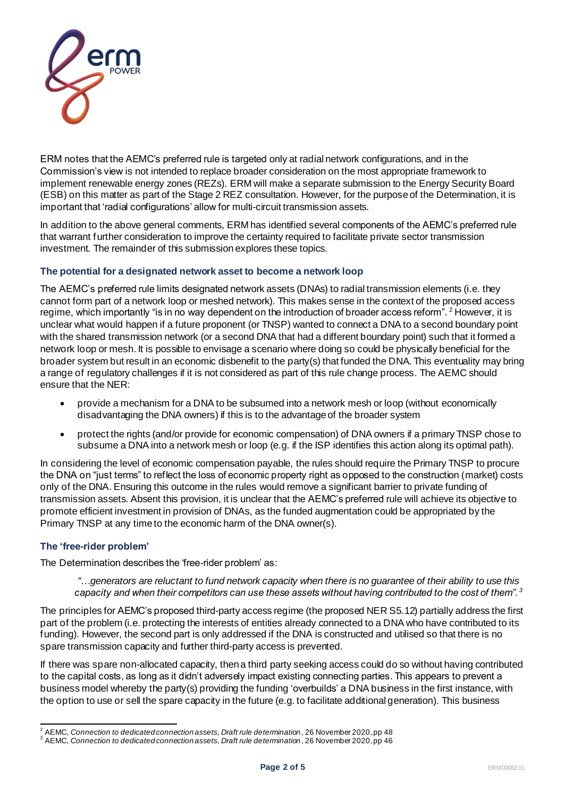

ERM notes that the AEMC's preferred rule is targeted only at radial network configurations, and in the Commission's view is not intended to replace broader consideration on the most appropriate framework to implement renewable energy zones (REZs). ERM will make a separate submission to the Energy Security Board (ESB) on this matter as part of the Stage 2 REZ consultation. However, for the purpose of the Determination, it is important that 'radial configurations' allow for multi-circuit transmission assets.

In addition to the above general comments, ERM has identified several components of the AEMC's preferred rule that warrant further consideration to improve the certainty required to facilitate private sector transmission investment. The remainder of this submission explores these topics.

## **The potential for a designated network asset to become a network loop**

The AEMC's preferred rule limits designated network assets (DNAs) to radial transmission elements (i.e. they cannot form part of a network loop or meshed network). This makes sense in the context of the proposed access regime, which importantly "is in no way dependent on the introduction of broader access reform". <sup>2</sup> However, it is unclear what would happen if a future proponent (or TNSP) wanted to connect a DNA to a second boundary point with the shared transmission network (or a second DNA that had a different boundary point) such that it formed a network loop or mesh. It is possible to envisage a scenario where doing so could be physically beneficial for the broader system but result in an economic disbenefit to the party(s) that funded the DNA. This eventuality may bring a range of regulatory challenges if it is not considered as part of this rule change process. The AEMC should ensure that the NER:

- provide a mechanism for a DNA to be subsumed into a network mesh or loop (without economically disadvantaging the DNA owners) if this is to the advantage of the broader system
- protect the rights (and/or provide for economic compensation) of DNA owners if a primary TNSP chose to subsume a DNA into a network mesh or loop (e.g. if the ISP identifies this action along its optimal path).

In considering the level of economic compensation payable, the rules should require the Primary TNSP to procure the DNA on "just terms" to reflect the loss of economic property right as opposed to the construction (market) costs only of the DNA. Ensuring this outcome in the rules would remove a significant barrier to private funding of transmission assets. Absent this provision, it is unclear that the AEMC's preferred rule will achieve its objective to promote efficient investment in provision of DNAs, as the funded augmentation could be appropriated by the Primary TNSP at any time to the economic harm of the DNA owner(s).

# **The 'free-rider problem'**

The Determination describes the 'free-rider problem' as:

*"…generators are reluctant to fund network capacity when there is no guarantee of their ability to use this capacity and when their competitors can use these assets without having contributed to the cost of them". <sup>3</sup>*

The principles for AEMC's proposed third-party access regime (the proposed NER S5.12) partially address the first part of the problem (i.e. protecting the interests of entities already connected to a DNA who have contributed to its funding). However, the second part is only addressed if the DNA is constructed and utilised so that there is no spare transmission capacity and further third-party access is prevented.

If there was spare non-allocated capacity, then a third party seeking access could do so without having contributed to the capital costs, as long as it didn't adversely impact existing connecting parties. This appears to prevent a business model whereby the party(s) providing the funding 'overbuilds' a DNA business in the first instance, with the option to use or sell the spare capacity in the future (e.g. to facilitate additional generation). This business

<sup>2</sup> AEMC, *Connection to dedicated connection assets, Draft rule determination*, 26 November 2020, pp 48

<sup>3</sup> AEMC, *Connection to dedicated connection assets, Draft rule determination*, 26 November 2020, pp 46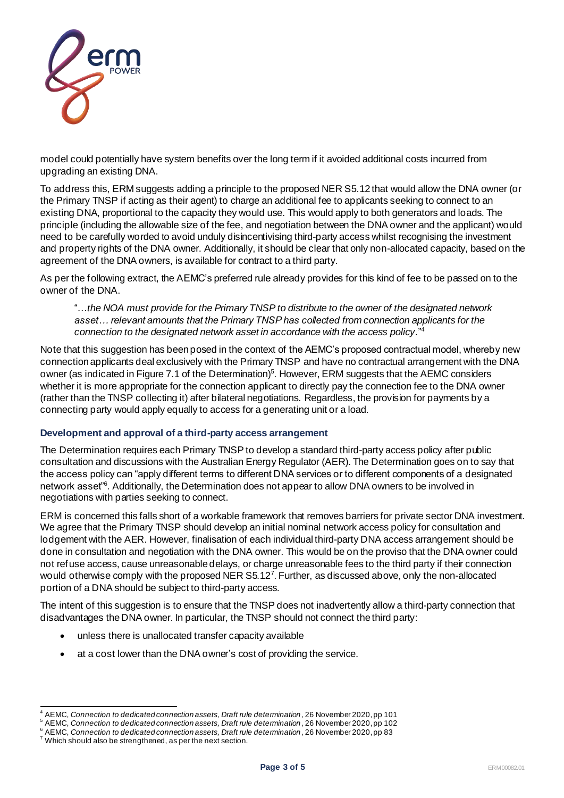

model could potentially have system benefits over the long term if it avoided additional costs incurred from upgrading an existing DNA.

To address this, ERM suggests adding a principle to the proposed NER S5.12 that would allow the DNA owner (or the Primary TNSP if acting as their agent) to charge an additional fee to applicants seeking to connect to an existing DNA, proportional to the capacity they would use. This would apply to both generators and loads. The principle (including the allowable size of the fee, and negotiation between the DNA owner and the applicant) would need to be carefully worded to avoid unduly disincentivising third-party access whilst recognising the investment and property rights of the DNA owner. Additionally, it should be clear that only non-allocated capacity, based on the agreement of the DNA owners, is available for contract to a third party.

As per the following extract, the AEMC's preferred rule already provides for this kind of fee to be passed on to the owner of the DNA.

"…*the NOA must provide for the Primary TNSP to distribute to the owner of the designated network asset… relevant amounts that the Primary TNSP has collected from connection applicants for the connection to the designated network asset in accordance with the access policy*." 4

Note that this suggestion has been posed in the context of the AEMC's proposed contractual model, whereby new connection applicants deal exclusively with the Primary TNSP and have no contractual arrangement with the DNA owner (as indicated in Figure 7.1 of the Determination)<sup>5</sup>. However, ERM suggests that the AEMC considers whether it is more appropriate for the connection applicant to directly pay the connection fee to the DNA owner (rather than the TNSP collecting it) after bilateral negotiations. Regardless, the provision for payments by a connecting party would apply equally to access for a generating unit or a load.

# **Development and approval of a third-party access arrangement**

The Determination requires each Primary TNSP to develop a standard third-party access policy after public consultation and discussions with the Australian Energy Regulator (AER). The Determination goes on to say that the access policy can "apply different terms to different DNA services or to different components of a designated network asset"<sup>6</sup> . Additionally, the Determination does not appear to allow DNA owners to be involved in negotiations with parties seeking to connect.

ERM is concerned this falls short of a workable framework that removes barriers for private sector DNA investment. We agree that the Primary TNSP should develop an initial nominal network access policy for consultation and lodgement with the AER. However, finalisation of each individual third-party DNA access arrangement should be done in consultation and negotiation with the DNA owner. This would be on the proviso that the DNA owner could not refuse access, cause unreasonable delays, or charge unreasonable fees to the third party if their connection would otherwise comply with the proposed NER S5.12<sup>7</sup>. Further, as discussed above, only the non-allocated portion of a DNA should be subject to third-party access.

The intent of this suggestion is to ensure that the TNSP does not inadvertently allow a third-party connection that disadvantages the DNA owner. In particular, the TNSP should not connect the third party:

- unless there is unallocated transfer capacity available
- at a cost lower than the DNA owner's cost of providing the service.

<sup>&</sup>lt;sup>4</sup> AEMC, *Connection to dedicated* connection assets, *Draft rule determination*, 26 November 2020, pp 101<br><sup>5</sup> AEMC, *Connection to dedicated connection assets, Draft rule determination*, 26 November 2020, pp 102

<sup>6</sup> AEMC, *Connection to dedicated connection assets, Draft rule determination*, 26 November 2020, pp 83

 $7$  Which should also be strengthened, as per the next section.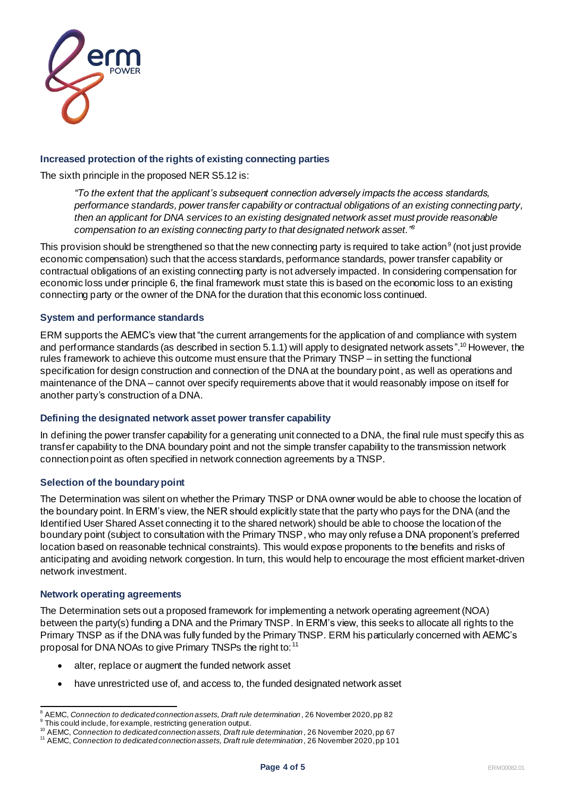

### **Increased protection of the rights of existing connecting parties**

The sixth principle in the proposed NER S5.12 is:

*"To the extent that the applicant's subsequent connection adversely impacts the access standards, performance standards, power transfer capability or contractual obligations of an existing connecting party, then an applicant for DNA services to an existing designated network asset must provide reasonable compensation to an existing connecting party to that designated network asset." 8*

This provision should be strengthened so that the new connecting party is required to take action $^9$  (not just provide economic compensation) such that the access standards, performance standards, power transfer capability or contractual obligations of an existing connecting party is not adversely impacted. In considering compensation for economic loss under principle 6, the final framework must state this is based on the economic loss to an existing connecting party or the owner of the DNA for the duration that this economic loss continued.

#### **System and performance standards**

ERM supports the AEMC's view that "the current arrangements for the application of and compliance with system and performance standards (as described in section 5.1.1) will apply to designated network assets ". <sup>10</sup> However, the rules framework to achieve this outcome must ensure that the Primary TNSP – in setting the functional specification for design construction and connection of the DNA at the boundary point, as well as operations and maintenance of the DNA – cannot over specify requirements above that it would reasonably impose on itself for another party's construction of a DNA.

#### **Defining the designated network asset power transfer capability**

In defining the power transfer capability for a generating unit connected to a DNA, the final rule must specify this as transfer capability to the DNA boundary point and not the simple transfer capability to the transmission network connection point as often specified in network connection agreements by a TNSP.

### **Selection of the boundarypoint**

The Determination was silent on whether the Primary TNSP or DNA owner would be able to choose the location of the boundary point. In ERM's view, the NER should explicitly state that the party who pays for the DNA (and the Identified User Shared Asset connecting it to the shared network) should be able to choose the location of the boundary point (subject to consultation with the Primary TNSP, who may only refuse a DNA proponent's preferred location based on reasonable technical constraints). This would expose proponents to the benefits and risks of anticipating and avoiding network congestion. In turn, this would help to encourage the most efficient market-driven network investment.

#### **Network operating agreements**

The Determination sets out a proposed framework for implementing a network operating agreement (NOA) between the party(s) funding a DNA and the Primary TNSP. In ERM's view, this seeks to allocate all rights to the Primary TNSP as if the DNA was fully funded by the Primary TNSP. ERM his particularly concerned with AEMC's proposal for DNA NOAs to give Primary TNSPs the right to: <sup>11</sup>

- alter, replace or augment the funded network asset
- have unrestricted use of, and access to, the funded designated network asset

<sup>&</sup>lt;sup>8</sup> AEMC, *Connection to dedicated connection assets, Draft rule determination*, 26 November 2020, pp 82<br><sup>9</sup> This could include, for example, restricting generation output.

<sup>&</sup>lt;sup>10</sup> AEMC, *Connection to dedicated connection assets, Draft rule determination*, 26 November 2020, pp 67

<sup>11</sup> AEMC, *Connection to dedicated connection assets, Draft rule determination*, 26 November 2020, pp 101